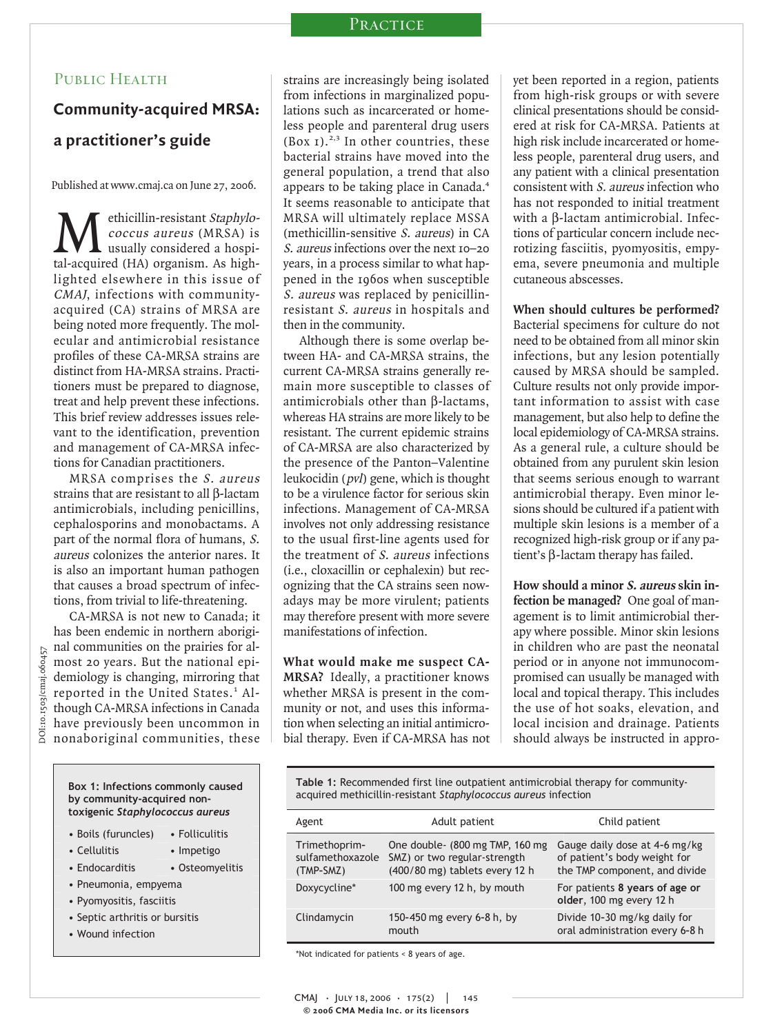## PRACTICE

# PUBLIC HEALTH

# **a practitioner's guide**

Published at www.cmaj.ca on June 27, 2006.

Methicillin-resistant Staphylo-<br>
usually considered a hospi-<br>
tal-acquired (HA) organism As highcoccus aureus (MRSA) is tal-acquired (HA) organism. As highlighted elsewhere in this issue of CMAJ, infections with communityacquired (CA) strains of MRSA are being noted more frequently. The molecular and antimicrobial resistance profiles of these CA-MRSA strains are distinct from HA-MRSA strains. Practitioners must be prepared to diagnose, treat and help prevent these infections. This brief review addresses issues relevant to the identification, prevention and management of CA-MRSA infections for Canadian practitioners. **Community-acquired MRSA:**<br> **a practitioner's guide**<br>
Published at www.cmaj.ca on June 27, 2006.<br> **a** the discussion of the correlation of the correlation of the simulation of the inglished elsewhere in this issue of CMAJ,

MRSA comprises the S. aureus strains that are resistant to all β-lactam antimicrobials, including penicillins, cephalosporins and monobactams. A part of the normal flora of humans, S. aureus colonizes the anterior nares. It is also an important human pathogen that causes a broad spectrum of infections, from trivial to life-threatening.

CA-MRSA is not new to Canada; it has been endemic in northern aboriginal communities on the prairies for almost 20 years. But the national epidemiology is changing, mirroring that reported in the United States.<sup>1</sup> Although CA-MRSA infections in Canada have previously been uncommon in miology is changing, mirrorin<br>
ported in the United States<br>
bugh CA-MRSA infections in C<br>
we previously been uncomm<br>
maboriginal communities,<br> **Box 1:** Infections commonly causus<br>
by community-acquired non-<br>
toxigenic *Sta* vorted in the United State<br>
bugh CA-MRSA infections in (<br>
ve previously been uncomm<br>
maboriginal communities,<br> **Box 1:** Infections commonly cau<br>
by community-acquired non-<br>
toxigenic *Staphylococcus aureu*<br>
• Boils (furunc

**Box 1: Infections commonly caused by community-acquired nontoxigenic** *Staphylococcus aureus* **Box 1: Infections commonl**<br>by community-acquired nc<br>toxigenic *Staphylococcus e*<br>• Boils (furuncles) • Folli<br>• Cellulitis • Impe<br>• Endocarditis • Oste<br>• Pneumonia, empyema<br>• Pyomyositis, fasciitis<br>• Sept

- 
- 
- Endocarditis Osteomyelitis
- Pneumonia, empyema
- Pyomyositis, fasciitis
- 
- Wound infection

strains are increasingly being isolated from infections in marginalized populations such as incarcerated or homeless people and parenteral drug users  $(Box I)<sup>2,3</sup>$  In other countries, these bacterial strains have moved into the general population, a trend that also appears to be taking place in Canada.<sup>4</sup> It seems reasonable to anticipate that MRSA will ultimately replace MSSA (methicillin-sensitive S. aureus) in CA S. aureus infections over the next 10–20 years, in a process similar to what happened in the 1960s when susceptible S. aureus was replaced by penicillinresistant S. aureus in hospitals and then in the community.

Although there is some overlap between HA- and CA-MRSA strains, the current CA-MRSA strains generally remain more susceptible to classes of antimicrobials other than β-lactams, whereas HA strains are more likely to be resistant. The current epidemic strains of CA-MRSA are also characterized by the presence of the Panton–Valentine leukocidin (pvl) gene, which is thought to be a virulence factor for serious skin infections. Management of CA-MRSA involves not only addressing resistance to the usual first-line agents used for the treatment of S. aureus infections (i.e., cloxacillin or cephalexin) but recognizing that the CA strains seen nowadays may be more virulent; patients may therefore present with more severe manifestations of infection.

yet been reported in a region, patients from high-risk groups or with severe clinical presentations should be considered at risk for CA-MRSA. Patients at high risk include incarcerated or homeless people, parenteral drug users, and any patient with a clinical presentation consistent with S. aureus infection who has not responded to initial treatment with a β-lactam antimicrobial. Infections of particular concern include necrotizing fasciitis, pyomyositis, empyema, severe pneumonia and multiple cutaneous abscesses.

**When should cultures be performed?** Bacterial specimens for culture do not need to be obtained from all minor skin infections, but any lesion potentially caused by MRSA should be sampled. Culture results not only provide important information to assist with case management, but also help to define the local epidemiology of CA-MRSA strains. As a general rule, a culture should be obtained from any purulent skin lesion that seems serious enough to warrant antimicrobial therapy. Even minor lesions should be cultured if a patient with multiple skin lesions is a member of a recognized high-risk group or if any patient's β-lactam therapy has failed.

| eukocialn ( <i>pvi)</i> gene, which is thought<br>o be a virulence factor for serious skin<br>nfections. Management of CA-MRSA<br>wolves not only addressing resistance<br>o the usual first-line agents used for<br>he treatment of S. aureus infections<br>.e., cloxacillin or cephalexin) but rec-<br>gnizing that the CA strains seen now-<br>days may be more virulent; patients<br>nay therefore present with more severe<br>nanifestations of infection.<br>Vhat would make me suspect CA-<br><b>IRSA?</b> Ideally, a practitioner knows<br>whether MRSA is present in the com-<br>nunity or not, and uses this informa-<br>on when selecting an initial antimicro-<br>ial therapy. Even if CA-MRSA has not |                                                                                                   | that seems serious enough to warrar<br>antimicrobial therapy. Even minor le<br>sions should be cultured if a patient wit<br>multiple skin lesions is a member of<br>recognized high-risk group or if any pa<br>tient's $\beta$ -lactam therapy has failed.<br>How should a minor <i>S. aureus</i> skin in<br>fection be managed? One goal of mar<br>agement is to limit antimicrobial the<br>apy where possible. Minor skin lesion<br>in children who are past the neonata<br>period or in anyone not immunocom<br>promised can usually be managed wit<br>local and topical therapy. This include<br>the use of hot soaks, elevation, an<br>local incision and drainage. Patient<br>should always be instructed in appro |                                                                                                |
|--------------------------------------------------------------------------------------------------------------------------------------------------------------------------------------------------------------------------------------------------------------------------------------------------------------------------------------------------------------------------------------------------------------------------------------------------------------------------------------------------------------------------------------------------------------------------------------------------------------------------------------------------------------------------------------------------------------------|---------------------------------------------------------------------------------------------------|--------------------------------------------------------------------------------------------------------------------------------------------------------------------------------------------------------------------------------------------------------------------------------------------------------------------------------------------------------------------------------------------------------------------------------------------------------------------------------------------------------------------------------------------------------------------------------------------------------------------------------------------------------------------------------------------------------------------------|------------------------------------------------------------------------------------------------|
| Table 1: Recommended first line outpatient antimicrobial therapy for community-<br>acquired methicillin-resistant Staphylococcus aureus infection                                                                                                                                                                                                                                                                                                                                                                                                                                                                                                                                                                  |                                                                                                   |                                                                                                                                                                                                                                                                                                                                                                                                                                                                                                                                                                                                                                                                                                                          |                                                                                                |
| Agent                                                                                                                                                                                                                                                                                                                                                                                                                                                                                                                                                                                                                                                                                                              | Adult patient                                                                                     |                                                                                                                                                                                                                                                                                                                                                                                                                                                                                                                                                                                                                                                                                                                          | Child patient                                                                                  |
| Trimethoprim-<br>sulfamethoxazole<br>(TMP-SMZ)                                                                                                                                                                                                                                                                                                                                                                                                                                                                                                                                                                                                                                                                     | One double- (800 mg TMP, 160 mg<br>SMZ) or two regular-strength<br>(400/80 mg) tablets every 12 h |                                                                                                                                                                                                                                                                                                                                                                                                                                                                                                                                                                                                                                                                                                                          | Gauge daily dose at 4-6 mg/kg<br>of patient's body weight for<br>the TMP component, and divide |
| Doxycycline*                                                                                                                                                                                                                                                                                                                                                                                                                                                                                                                                                                                                                                                                                                       | 100 mg every 12 h, by mouth                                                                       |                                                                                                                                                                                                                                                                                                                                                                                                                                                                                                                                                                                                                                                                                                                          | For patients 8 years of age or<br>older, 100 mg every 12 h                                     |
| Clindamycin                                                                                                                                                                                                                                                                                                                                                                                                                                                                                                                                                                                                                                                                                                        | 150-450 mg every 6-8 h, by<br>mouth                                                               |                                                                                                                                                                                                                                                                                                                                                                                                                                                                                                                                                                                                                                                                                                                          | Divide 10-30 mg/kg daily for<br>oral administration every 6-8 h                                |
| *Not indicated for patients < 8 years of age.<br>$CMA$ · JULY 18, 2006 · 175(2)<br>145                                                                                                                                                                                                                                                                                                                                                                                                                                                                                                                                                                                                                             |                                                                                                   |                                                                                                                                                                                                                                                                                                                                                                                                                                                                                                                                                                                                                                                                                                                          |                                                                                                |
| © 2006 CMA Media Inc. or its licensors                                                                                                                                                                                                                                                                                                                                                                                                                                                                                                                                                                                                                                                                             |                                                                                                   |                                                                                                                                                                                                                                                                                                                                                                                                                                                                                                                                                                                                                                                                                                                          |                                                                                                |